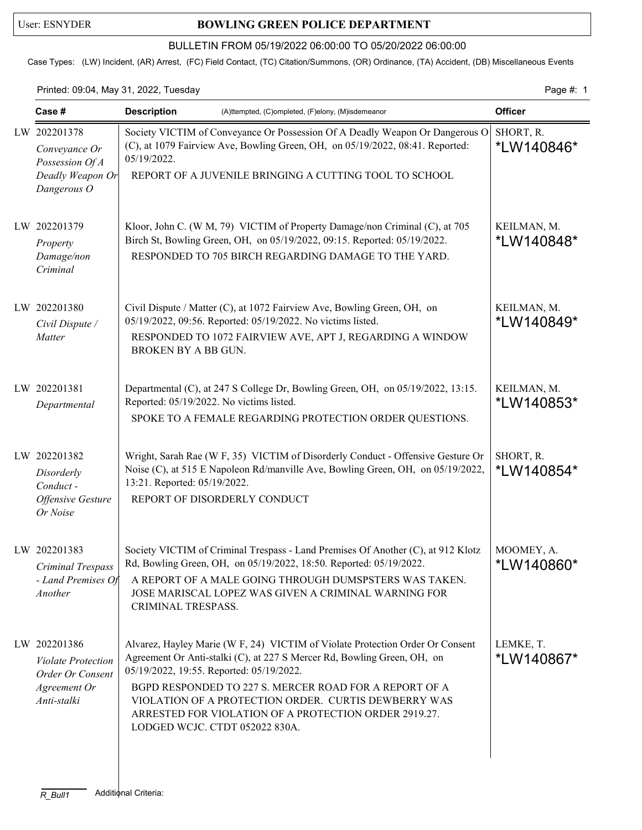## User: ESNYDER **BOWLING GREEN POLICE DEPARTMENT**

## BULLETIN FROM 05/19/2022 06:00:00 TO 05/20/2022 06:00:00

Case Types: (LW) Incident, (AR) Arrest, (FC) Field Contact, (TC) Citation/Summons, (OR) Ordinance, (TA) Accident, (DB) Miscellaneous Events

Printed: 09:04, May 31, 2022, Tuesday Page #: 1

| Case #                                                                                       | <b>Description</b><br>(A)ttempted, (C)ompleted, (F)elony, (M)isdemeanor                                                                                                                                                                                                                                                                                                                                           | <b>Officer</b>                    |
|----------------------------------------------------------------------------------------------|-------------------------------------------------------------------------------------------------------------------------------------------------------------------------------------------------------------------------------------------------------------------------------------------------------------------------------------------------------------------------------------------------------------------|-----------------------------------|
| LW 202201378<br>Conveyance Or<br>Possession Of A                                             | Society VICTIM of Conveyance Or Possession Of A Deadly Weapon Or Dangerous O<br>(C), at 1079 Fairview Ave, Bowling Green, OH, on 05/19/2022, 08:41. Reported:<br>05/19/2022.<br>REPORT OF A JUVENILE BRINGING A CUTTING TOOL TO SCHOOL                                                                                                                                                                            | SHORT, R.<br>*LW140846*           |
| Deadly Weapon Or<br>Dangerous O                                                              |                                                                                                                                                                                                                                                                                                                                                                                                                   |                                   |
| LW 202201379<br>Property<br>Damage/non<br>Criminal                                           | Kloor, John C. (W M, 79) VICTIM of Property Damage/non Criminal (C), at 705<br>Birch St, Bowling Green, OH, on 05/19/2022, 09:15. Reported: 05/19/2022.<br>RESPONDED TO 705 BIRCH REGARDING DAMAGE TO THE YARD.                                                                                                                                                                                                   | KEILMAN, M.<br>*LW140848*         |
| LW 202201380<br>Civil Dispute /<br>Matter                                                    | Civil Dispute / Matter (C), at 1072 Fairview Ave, Bowling Green, OH, on<br>05/19/2022, 09:56. Reported: 05/19/2022. No victims listed.<br>RESPONDED TO 1072 FAIRVIEW AVE, APT J, REGARDING A WINDOW<br>BROKEN BY A BB GUN.                                                                                                                                                                                        | KEILMAN, M.<br>*LW140849*         |
| LW 202201381<br>Departmental                                                                 | Departmental (C), at 247 S College Dr, Bowling Green, OH, on 05/19/2022, 13:15.<br>Reported: 05/19/2022. No victims listed.<br>SPOKE TO A FEMALE REGARDING PROTECTION ORDER QUESTIONS.                                                                                                                                                                                                                            | KEILMAN, M.<br><i>*</i> LW140853* |
| LW 202201382<br>Disorderly<br>Conduct-<br><b>Offensive Gesture</b><br>Or Noise               | Wright, Sarah Rae (W F, 35) VICTIM of Disorderly Conduct - Offensive Gesture Or<br>Noise (C), at 515 E Napoleon Rd/manville Ave, Bowling Green, OH, on 05/19/2022,<br>13:21. Reported: 05/19/2022.<br>REPORT OF DISORDERLY CONDUCT                                                                                                                                                                                | SHORT, R.<br>*LW140854*           |
| LW 202201383<br>Criminal Trespass<br>- Land Premises Of<br>Another                           | Society VICTIM of Criminal Trespass - Land Premises Of Another (C), at 912 Klotz<br>Rd, Bowling Green, OH, on 05/19/2022, 18:50. Reported: 05/19/2022.<br>A REPORT OF A MALE GOING THROUGH DUMSPSTERS WAS TAKEN.<br>JOSE MARISCAL LOPEZ WAS GIVEN A CRIMINAL WARNING FOR<br>CRIMINAL TRESPASS.                                                                                                                    | MOOMEY, A.<br>*LW140860*          |
| LW 202201386<br><b>Violate Protection</b><br>Order Or Consent<br>Agreement Or<br>Anti-stalki | Alvarez, Hayley Marie (W F, 24) VICTIM of Violate Protection Order Or Consent<br>Agreement Or Anti-stalki (C), at 227 S Mercer Rd, Bowling Green, OH, on<br>05/19/2022, 19:55. Reported: 05/19/2022.<br>BGPD RESPONDED TO 227 S. MERCER ROAD FOR A REPORT OF A<br>VIOLATION OF A PROTECTION ORDER. CURTIS DEWBERRY WAS<br>ARRESTED FOR VIOLATION OF A PROTECTION ORDER 2919.27.<br>LODGED WCJC. CTDT 052022 830A. | LEMKE, T.<br>*LW140867*           |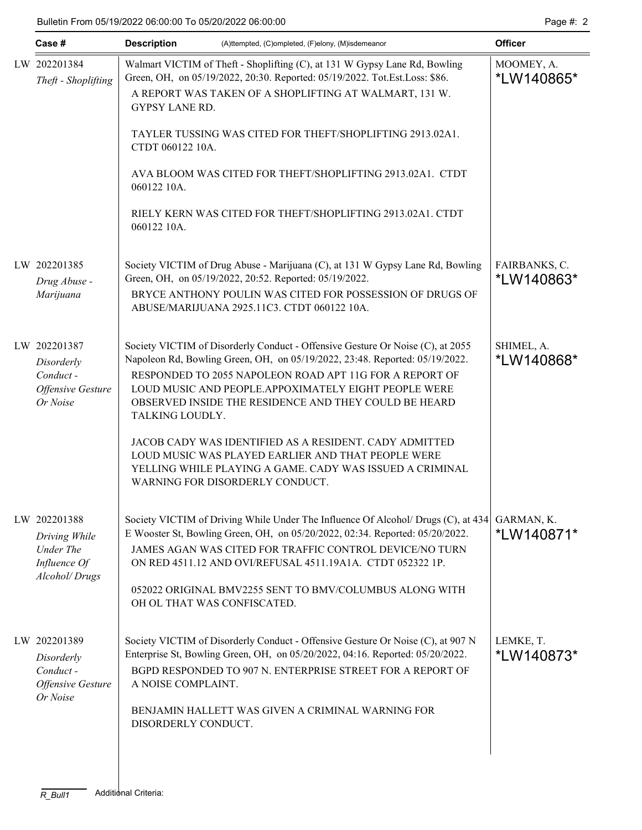| Case #                                                                             | <b>Description</b><br>(A)ttempted, (C)ompleted, (F)elony, (M)isdemeanor |                                                                                                                                                                                                                                                                                                                                                                                                                                                                                                                                                                 |                             |  |  |  |
|------------------------------------------------------------------------------------|-------------------------------------------------------------------------|-----------------------------------------------------------------------------------------------------------------------------------------------------------------------------------------------------------------------------------------------------------------------------------------------------------------------------------------------------------------------------------------------------------------------------------------------------------------------------------------------------------------------------------------------------------------|-----------------------------|--|--|--|
| LW 202201384<br>Theft - Shoplifting                                                | GYPSY LANE RD.                                                          | Walmart VICTIM of Theft - Shoplifting (C), at 131 W Gypsy Lane Rd, Bowling<br>Green, OH, on 05/19/2022, 20:30. Reported: 05/19/2022. Tot.Est.Loss: \$86.<br>A REPORT WAS TAKEN OF A SHOPLIFTING AT WALMART, 131 W.<br>TAYLER TUSSING WAS CITED FOR THEFT/SHOPLIFTING 2913.02A1.                                                                                                                                                                                                                                                                                 | MOOMEY, A.<br>*LW140865*    |  |  |  |
|                                                                                    | CTDT 060122 10A.<br>060122 10A.<br>060122 10A.                          | AVA BLOOM WAS CITED FOR THEFT/SHOPLIFTING 2913.02A1. CTDT<br>RIELY KERN WAS CITED FOR THEFT/SHOPLIFTING 2913.02A1. CTDT                                                                                                                                                                                                                                                                                                                                                                                                                                         |                             |  |  |  |
| LW 202201385<br>Drug Abuse -<br>Marijuana                                          |                                                                         | Society VICTIM of Drug Abuse - Marijuana (C), at 131 W Gypsy Lane Rd, Bowling<br>Green, OH, on 05/19/2022, 20:52. Reported: 05/19/2022.<br>BRYCE ANTHONY POULIN WAS CITED FOR POSSESSION OF DRUGS OF<br>ABUSE/MARIJUANA 2925.11C3. CTDT 060122 10A.                                                                                                                                                                                                                                                                                                             | FAIRBANKS, C.<br>*LW140863* |  |  |  |
| LW 202201387<br>Disorderly<br>Conduct-<br><b>Offensive Gesture</b><br>Or Noise     | TALKING LOUDLY.                                                         | Society VICTIM of Disorderly Conduct - Offensive Gesture Or Noise (C), at 2055<br>Napoleon Rd, Bowling Green, OH, on 05/19/2022, 23:48. Reported: 05/19/2022.<br>RESPONDED TO 2055 NAPOLEON ROAD APT 11G FOR A REPORT OF<br>LOUD MUSIC AND PEOPLE.APPOXIMATELY EIGHT PEOPLE WERE<br>OBSERVED INSIDE THE RESIDENCE AND THEY COULD BE HEARD<br><b>JACOB CADY WAS IDENTIFIED AS A RESIDENT. CADY ADMITTED</b><br>LOUD MUSIC WAS PLAYED EARLIER AND THAT PEOPLE WERE<br>YELLING WHILE PLAYING A GAME. CADY WAS ISSUED A CRIMINAL<br>WARNING FOR DISORDERLY CONDUCT. | SHIMEL, A.<br>*LW140868*    |  |  |  |
| LW 202201388<br>Driving While<br><b>Under The</b><br>Influence Of<br>Alcohol/Drugs | OH OL THAT WAS CONFISCATED.                                             | Society VICTIM of Driving While Under The Influence Of Alcohol/ Drugs (C), at 434<br>E Wooster St, Bowling Green, OH, on 05/20/2022, 02:34. Reported: 05/20/2022.<br>JAMES AGAN WAS CITED FOR TRAFFIC CONTROL DEVICE/NO TURN<br>ON RED 4511.12 AND OVI/REFUSAL 4511.19A1A. CTDT 052322 1P.<br>052022 ORIGINAL BMV2255 SENT TO BMV/COLUMBUS ALONG WITH                                                                                                                                                                                                           | GARMAN, K.<br>*LW140871*    |  |  |  |
| LW 202201389<br>Disorderly<br>Conduct-<br>Offensive Gesture<br>Or Noise            | A NOISE COMPLAINT.<br>DISORDERLY CONDUCT.                               | Society VICTIM of Disorderly Conduct - Offensive Gesture Or Noise (C), at 907 N<br>Enterprise St, Bowling Green, OH, on 05/20/2022, 04:16. Reported: 05/20/2022.<br>BGPD RESPONDED TO 907 N. ENTERPRISE STREET FOR A REPORT OF<br>BENJAMIN HALLETT WAS GIVEN A CRIMINAL WARNING FOR                                                                                                                                                                                                                                                                             | LEMKE, T.<br>*LW140873*     |  |  |  |